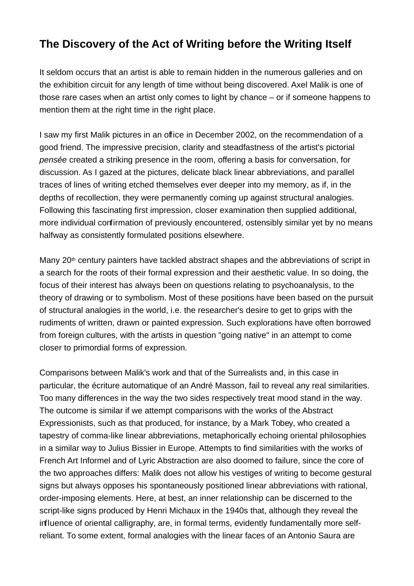## **The Discovery of the Act of Writing before the Writing Itself**

It seldom occurs that an artist is able to remain hidden in the numerous galleries and on the exhibition circuit for any length of time without being discovered. Axel Malik is one of those rare cases when an artist only comes to light by chance – or if someone happens to mention them at the right time in the right place.

I saw my first Malik pictures in an office in December 2002, on the recommendation of a good friend. The impressive precision, clarity and steadfastness of the artist's pictorial pensée created a striking presence in the room, offering a basis for conversation, for discussion. As I gazed at the pictures, delicate black linear abbreviations, and parallel traces of lines of writing etched themselves ever deeper into my memory, as if, in the depths of recollection, they were permanently coming up against structural analogies. Following this fascinating first impression, closer examination then supplied additional, more individual confirmation of previously encountered, ostensibly similar yet by no means halfway as consistently formulated positions elsewhere.

Many 20<sup>th</sup> century painters have tackled abstract shapes and the abbreviations of script in a search for the roots of their formal expression and their aesthetic value. In so doing, the focus of their interest has always been on questions relating to psychoanalysis, to the theory of drawing or to symbolism. Most of these positions have been based on the pursuit of structural analogies in the world, i.e. the researcher's desire to get to grips with the rudiments of written, drawn or painted expression. Such explorations have often borrowed from foreign cultures, with the artists in question "going native" in an attempt to come closer to primordial forms of expression.

Comparisons between Malik's work and that of the Surrealists and, in this case in particular, the écriture automatique of an André Masson, fail to reveal any real similarities. Too many differences in the way the two sides respectively treat mood stand in the way. The outcome is similar if we attempt comparisons with the works of the Abstract Expressionists, such as that produced, for instance, by a Mark Tobey, who created a tapestry of comma-like linear abbreviations, metaphorically echoing oriental philosophies in a similar way to Julius Bissier in Europe. Attempts to find similarities with the works of French Art Informel and of Lyric Abstraction are also doomed to failure, since the core of the two approaches differs: Malik does not allow his vestiges of writing to become gestural signs but always opposes his spontaneously positioned linear abbreviations with rational, order-imposing elements. Here, at best, an inner relationship can be discerned to the script-like signs produced by Henri Michaux in the 1940s that, although they reveal the influence of oriental calligraphy, are, in formal terms, evidently fundamentally more selfreliant. To some extent, formal analogies with the linear faces of an Antonio Saura are